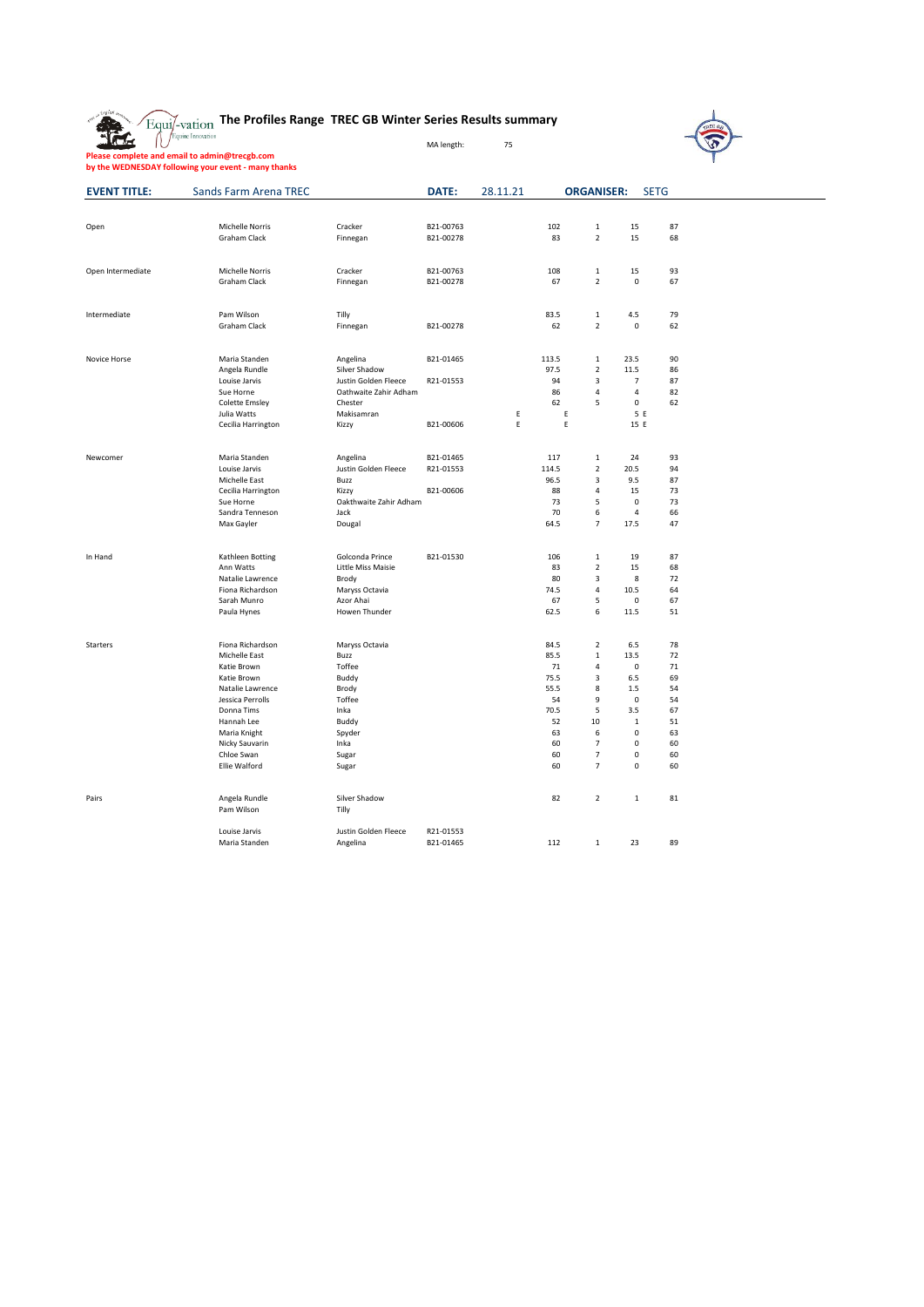|  |  |  | $\widetilde{\text{Equi}/\text{-}\text{vation}}$ The Profiles Range TREC GB Winter Series Results summary |  |  |  |
|--|--|--|----------------------------------------------------------------------------------------------------------|--|--|--|
|--|--|--|----------------------------------------------------------------------------------------------------------|--|--|--|

MA length: 75

**Please complete and email to admin@trecgb.com by the WEDNESDAY following your event - many thanks**



 $\overline{\phantom{a}}$ 

| <b>EVENT TITLE:</b> | <b>Sands Farm Arena TREC</b>    |                                | DATE:     | 28.11.21 |              | <b>ORGANISER:</b>       |                   | <b>SETG</b> |  |
|---------------------|---------------------------------|--------------------------------|-----------|----------|--------------|-------------------------|-------------------|-------------|--|
|                     |                                 |                                |           |          |              |                         |                   |             |  |
| Open                | Michelle Norris                 | Cracker                        | B21-00763 |          | 102          | $\mathbf 1$             | 15                | 87          |  |
|                     | Graham Clack                    | Finnegan                       | B21-00278 |          | 83           | $\overline{2}$          | 15                | 68          |  |
|                     |                                 |                                |           |          |              |                         |                   |             |  |
| Open Intermediate   | <b>Michelle Norris</b>          | Cracker                        | B21-00763 |          | 108          | 1                       | 15                | 93          |  |
|                     | Graham Clack                    | Finnegan                       | B21-00278 |          | 67           | $\overline{2}$          | $\mathsf 0$       | 67          |  |
|                     |                                 |                                |           |          |              |                         |                   |             |  |
| Intermediate        | Pam Wilson                      | Tilly                          |           |          | 83.5         | $\mathbf{1}$            | 4.5               | 79          |  |
|                     | Graham Clack                    | Finnegan                       | B21-00278 |          | 62           | $\mathbf 2$             | $\pmb{0}$         | 62          |  |
|                     |                                 |                                |           |          |              |                         |                   |             |  |
| Novice Horse        | Maria Standen                   | Angelina                       | B21-01465 |          | 113.5        | $\mathbf{1}$            | 23.5              | 90          |  |
|                     | Angela Rundle                   | Silver Shadow                  |           |          | 97.5         | $\mathbf 2$             | 11.5              | 86          |  |
|                     | Louise Jarvis                   | Justin Golden Fleece           | R21-01553 |          | 94           | $\overline{3}$          | $\overline{7}$    | 87          |  |
|                     | Sue Horne                       | Oathwaite Zahir Adham          |           |          | 86           | $\overline{4}$          | $\overline{4}$    | 82          |  |
|                     | <b>Colette Emsley</b>           | Chester                        |           |          | 62           | 5                       | $\pmb{0}$         | 62          |  |
|                     | Julia Watts                     | Makisamran                     |           | Ε        | Ε            |                         | 5 E               |             |  |
|                     | Cecilia Harrington              | Kizzy                          | B21-00606 | E        | E            |                         | 15 E              |             |  |
|                     |                                 |                                |           |          |              |                         |                   |             |  |
| Newcomer            | Maria Standen                   | Angelina                       | B21-01465 |          | 117          | 1                       | 24                | 93          |  |
|                     | Louise Jarvis                   | Justin Golden Fleece           | R21-01553 |          | 114.5        | $\overline{2}$          | 20.5              | 94          |  |
|                     | Michelle East                   | Buzz                           |           |          | 96.5         | $\overline{\mathbf{3}}$ | 9.5               | 87          |  |
|                     | Cecilia Harrington              | Kizzy                          | B21-00606 |          | 88<br>73     | $\sqrt{4}$              | 15<br>$\mathbf 0$ | 73<br>73    |  |
|                     | Sue Horne<br>Sandra Tenneson    | Oakthwaite Zahir Adham<br>Jack |           |          | 70           | 5<br>6                  | 4                 | 66          |  |
|                     | Max Gayler                      | Dougal                         |           |          | 64.5         | $\overline{7}$          | 17.5              | 47          |  |
|                     |                                 |                                |           |          |              |                         |                   |             |  |
| In Hand             | Kathleen Botting                | Golconda Prince                | B21-01530 |          | 106          | $\mathbf{1}$            | 19                | 87          |  |
|                     | Ann Watts                       | Little Miss Maisie             |           |          | 83           | $\overline{2}$          | 15                | 68          |  |
|                     | Natalie Lawrence                | Brody                          |           |          | 80           | $\overline{\mathbf{3}}$ | 8                 | 72          |  |
|                     | Fiona Richardson                | Maryss Octavia                 |           |          | 74.5         | $\sqrt{4}$              | 10.5              | 64          |  |
|                     | Sarah Munro                     | Azor Ahai                      |           |          | 67           | 5                       | 0                 | 67          |  |
|                     | Paula Hynes                     | Howen Thunder                  |           |          | 62.5         | 6                       | 11.5              | 51          |  |
|                     |                                 |                                |           |          |              |                         |                   |             |  |
| Starters            | Fiona Richardson                | Maryss Octavia                 |           |          | 84.5         | $\overline{2}$          | 6.5               | 78          |  |
|                     | Michelle East                   | Buzz                           |           |          | 85.5         | $\,1\,$                 | 13.5              | 72          |  |
|                     | Katie Brown                     | Toffee                         |           |          | 71           | $\sqrt{4}$              | $\pmb{0}$         | 71          |  |
|                     | Katie Brown<br>Natalie Lawrence | Buddy<br>Brody                 |           |          | 75.5<br>55.5 | $\mathsf 3$<br>8        | 6.5<br>1.5        | 69<br>54    |  |
|                     | Jessica Perrolls                | Toffee                         |           |          | 54           | 9                       | 0                 | 54          |  |
|                     | Donna Tims                      | Inka                           |           |          | 70.5         | 5                       | 3.5               | 67          |  |
|                     | Hannah Lee                      | Buddy                          |           |          | 52           | 10                      | $\mathbf{1}$      | 51          |  |
|                     | Maria Knight                    | Spyder                         |           |          | 63           | 6                       | $\mathbf 0$       | 63          |  |
|                     | Nicky Sauvarin                  | Inka                           |           |          | 60           | $\overline{7}$          | $\mathbf 0$       | 60          |  |
|                     | Chloe Swan                      | Sugar                          |           |          | 60           | $\overline{7}$          | $\mathsf 0$       | 60          |  |
|                     | Ellie Walford                   | Sugar                          |           |          | 60           | $\overline{7}$          | $\pmb{0}$         | 60          |  |
|                     |                                 |                                |           |          |              |                         |                   |             |  |
| Pairs               | Angela Rundle                   | Silver Shadow                  |           |          | 82           | $\overline{2}$          | 1                 | 81          |  |
|                     | Pam Wilson                      | Tilly                          |           |          |              |                         |                   |             |  |
|                     | Louise Jarvis                   | Justin Golden Fleece           | R21-01553 |          |              |                         |                   |             |  |
|                     | Maria Standen                   | Angelina                       | B21-01465 |          | 112          | $\mathbf{1}$            | 23                | 89          |  |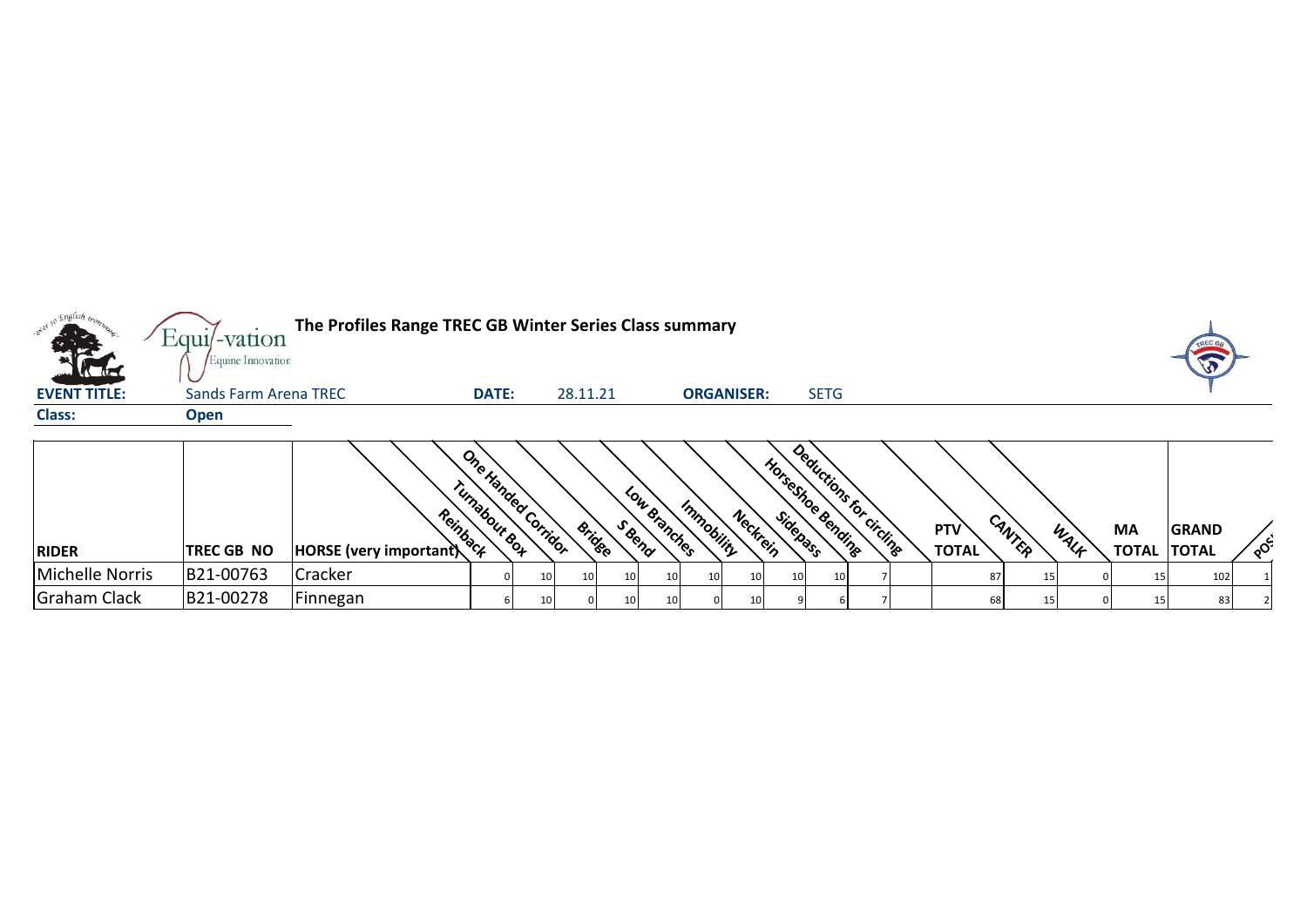|                     | $Equi$ -vation        | The Profiles Range TREC GB Winter Series Class summary |                     |                                     |                          |                                |                                     |
|---------------------|-----------------------|--------------------------------------------------------|---------------------|-------------------------------------|--------------------------|--------------------------------|-------------------------------------|
| <b>The</b>          | Equine Innovation     |                                                        |                     |                                     |                          |                                |                                     |
| <b>EVENT TITLE:</b> | Sands Farm Arena TREC | <b>DATE:</b>                                           | 28.11.21            | <b>ORGANISER:</b>                   | <b>SETG</b>              |                                |                                     |
| <b>Class:</b>       | <b>Open</b>           |                                                        |                     |                                     |                          |                                |                                     |
|                     |                       |                                                        |                     |                                     |                          |                                |                                     |
|                     |                       |                                                        | One Handed Corridor |                                     | Deductions for circlings |                                |                                     |
|                     |                       |                                                        |                     |                                     |                          |                                |                                     |
|                     |                       |                                                        |                     |                                     |                          |                                |                                     |
|                     |                       | Reinback                                               |                     | Neckrein                            |                          | <b>PTV</b>                     | <b>MA</b><br><b>GRAND</b>           |
| <b>RIDER</b>        | <b>TREC GB NO</b>     | rumabour Box<br><b>HORSE</b> (very important)          | Bridge              | Low Branches<br>Immobility<br>Seena | HorseShoe Bending        | CANTER<br>WALF<br><b>TOTAL</b> | ,റ∙<br><b>TOTAL</b><br><b>TOTAL</b> |

 $\mathcal{L}^{\pm}$ 

Michelle Norris |B21-00763 |Cracker | 0 10 10 10 10 10 10 10 10 10 10 7 | 87 15 0 15 102 1 Graham Clack |B21-00278 |Finnegan | 6| 10| 0| 10| 10| 0| 10| 9| 6| 7| | 68| 15| 0| 15| 83| 2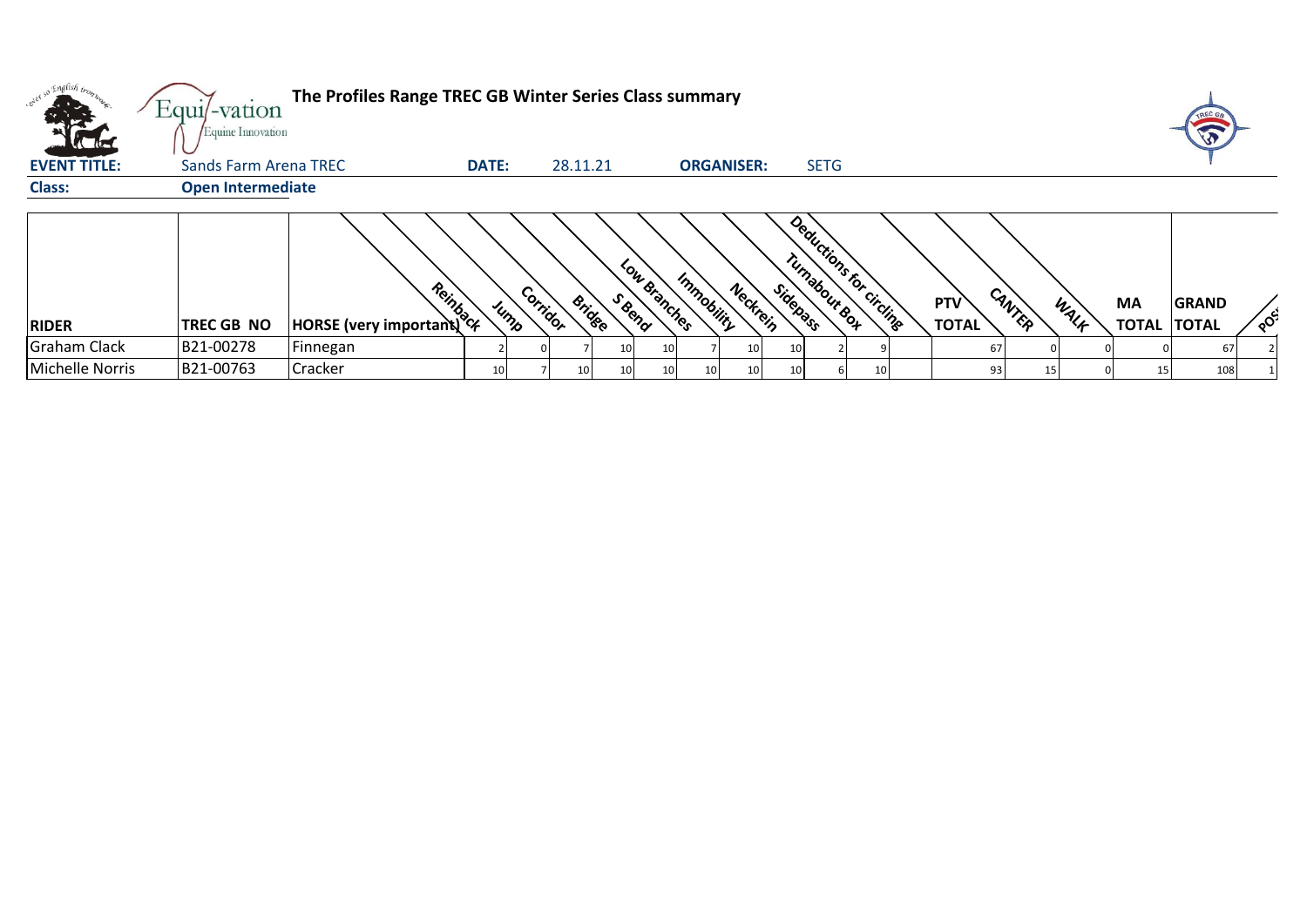| <b>Victor</b>       | Equi/-vation<br>Equine Innovation | The Profiles Range TREC GB Winter Series Class summary |                 |          |                         |              |                        |                           |                         |                               |                   |                                    |
|---------------------|-----------------------------------|--------------------------------------------------------|-----------------|----------|-------------------------|--------------|------------------------|---------------------------|-------------------------|-------------------------------|-------------------|------------------------------------|
| <b>EVENT TITLE:</b> | Sands Farm Arena TREC             |                                                        | <b>DATE:</b>    |          | 28.11.21                |              | <b>ORGANISER:</b>      | <b>SETG</b>               |                         |                               |                   |                                    |
| <b>Class:</b>       | <b>Open Intermediate</b>          |                                                        |                 |          |                         |              |                        |                           |                         |                               |                   |                                    |
| <b>RIDER</b>        | <b>TREC GB NO</b>                 | <b>Provided</b><br>HORSE (very important)              | Jump            | Corridor | S Beno<br><b>Bridge</b> | Low Branches | Immobility<br>Neckrein | Turnabour Roy<br>Sidepass | Deductions for circuite | CANTER<br>PTV<br><b>TOTAL</b> | <b>MA</b><br>WALK | <b>GRAND</b><br><b>TOTAL TOTAL</b> |
| <b>Graham Clack</b> | B21-00278                         | Finnegan                                               |                 |          |                         | 10           | 10 <sup>1</sup>        |                           |                         | 67                            |                   | 67                                 |
| Michelle Norris     | B21-00763                         | <b>Cracker</b>                                         | 10 <sub>1</sub> |          | 10                      | 10           | 10 <sup>1</sup><br>10  |                           | 10                      | 93                            |                   | 108                                |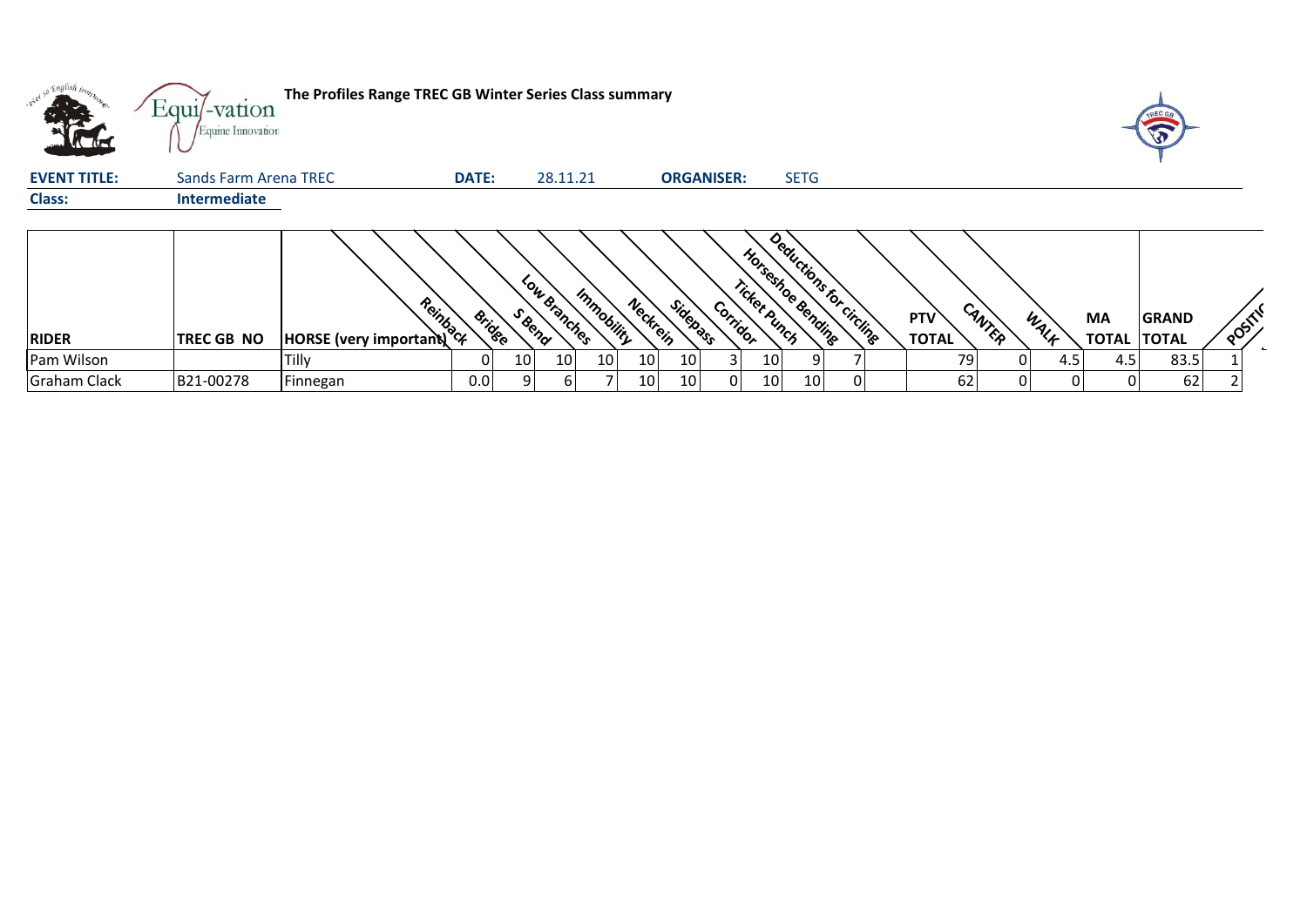| v <sup>204</sup> so English trons | $Equi$ -vation<br>Equine Innovation | The Profiles Range TREC GB Winter Series Class summary |              |                         |                 |                 |          |                   |          |              |                                               |                |                            |        |      |                           |                              |      |  |
|-----------------------------------|-------------------------------------|--------------------------------------------------------|--------------|-------------------------|-----------------|-----------------|----------|-------------------|----------|--------------|-----------------------------------------------|----------------|----------------------------|--------|------|---------------------------|------------------------------|------|--|
| <b>EVENT TITLE:</b>               | Sands Farm Arena TREC               |                                                        | <b>DATE:</b> |                         | 28.11.21        |                 |          | <b>ORGANISER:</b> |          |              | <b>SETG</b>                                   |                |                            |        |      |                           |                              |      |  |
| <b>Class:</b>                     | <b>Intermediate</b>                 |                                                        |              |                         |                 |                 |          |                   |          |              |                                               |                |                            |        |      |                           |                              |      |  |
| <b>RIDER</b>                      | <b>TREC GB NO</b>                   | <b>Provided</b><br>HORSE (very important)              |              | S Bend<br><b>Bridge</b> | Low Branches    | Immobility      | Neckrein | Sidepass          | Corridor | Ticket Punch | Deductions for circlinge<br>Horseshoe Bending |                | <b>PTV</b><br><b>TOTAL</b> | CANTER | WALK | <b>MA</b><br><b>TOTAL</b> | <b>GRAND</b><br><b>TOTAL</b> | POST |  |
| Pam Wilson                        |                                     | Tilly                                                  |              | 10 <sub>l</sub>         | 10 <sub>l</sub> | 10 <sub>l</sub> | 10       | 10                |          | 10           |                                               |                | 791                        |        | 4.5  | 4.5                       | 83.5                         |      |  |
| <b>Graham Clack</b>               | B21-00278                           | Finnegan                                               | 0.0          | 91                      | b               |                 | 10       | 10                | 01       | 10           | 10 <sub>l</sub>                               | $\overline{0}$ | 62                         |        | 01   |                           | 62                           |      |  |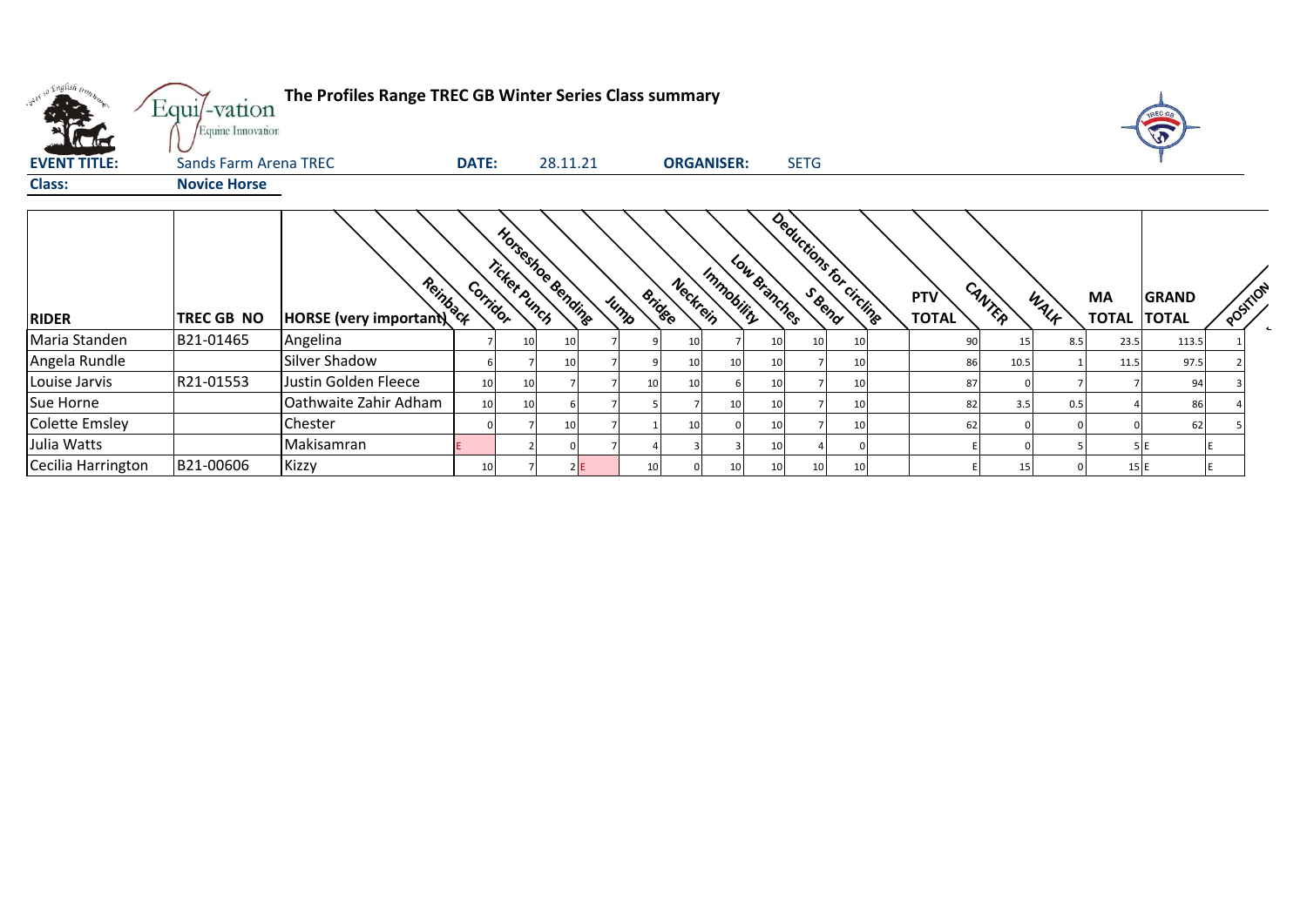| o English trong<br>The Profiles Range TREC GB Winter Series Class summary<br>Equi/-vation<br>Equine Innovation<br><b>SETG</b><br><b>EVENT TITLE:</b><br>28.11.21<br>Sands Farm Arena TREC<br><b>DATE:</b><br><b>ORGANISER:</b><br><b>Class:</b><br><b>Novice Horse</b><br>Deductions for circlinge<br>Horseshoe Bending<br>Low Branches<br>Ticket Punch<br>Immobility<br>HORSE (very important)<br>Neckrein<br>CANTER<br>Corridor<br>POSITION<br><b>Bridge</b><br>PTV<br>WALK<br><b>MA</b><br><b>GRAND</b><br>Jump<br><b>TOTAL</b><br><b>TOTAL TOTAL</b><br><b>RIDER</b><br>TREC GB NO<br>Maria Standen<br>B21-01465<br>Angelina<br>23.5<br>113.5<br>10<br>10<br>90<br>8.5<br>10<br>10 <sub>l</sub><br>15<br>-10<br>Angela Rundle<br>lSilver Shadow<br>97.5<br>10<br>86<br>10.5<br>11.5<br>10<br>10<br>-10 |           |                       |    |    |    |    |    |    |                 |     |    |     |     |     |    |  |
|------------------------------------------------------------------------------------------------------------------------------------------------------------------------------------------------------------------------------------------------------------------------------------------------------------------------------------------------------------------------------------------------------------------------------------------------------------------------------------------------------------------------------------------------------------------------------------------------------------------------------------------------------------------------------------------------------------------------------------------------------------------------------------------------------------|-----------|-----------------------|----|----|----|----|----|----|-----------------|-----|----|-----|-----|-----|----|--|
|                                                                                                                                                                                                                                                                                                                                                                                                                                                                                                                                                                                                                                                                                                                                                                                                            |           |                       |    |    |    |    |    |    |                 |     |    |     |     |     |    |  |
|                                                                                                                                                                                                                                                                                                                                                                                                                                                                                                                                                                                                                                                                                                                                                                                                            |           |                       |    |    |    |    |    |    |                 |     |    |     |     |     |    |  |
|                                                                                                                                                                                                                                                                                                                                                                                                                                                                                                                                                                                                                                                                                                                                                                                                            |           |                       |    |    |    |    |    |    |                 |     |    |     |     |     |    |  |
|                                                                                                                                                                                                                                                                                                                                                                                                                                                                                                                                                                                                                                                                                                                                                                                                            |           |                       |    |    |    |    |    |    |                 |     |    |     |     |     |    |  |
|                                                                                                                                                                                                                                                                                                                                                                                                                                                                                                                                                                                                                                                                                                                                                                                                            |           |                       |    |    |    |    |    |    |                 |     |    |     |     |     |    |  |
| Louise Jarvis                                                                                                                                                                                                                                                                                                                                                                                                                                                                                                                                                                                                                                                                                                                                                                                              | R21-01553 | Justin Golden Fleece  | 10 | 10 |    | 10 |    | 10 |                 |     | 87 |     |     |     | 94 |  |
| Sue Horne                                                                                                                                                                                                                                                                                                                                                                                                                                                                                                                                                                                                                                                                                                                                                                                                  |           | Oathwaite Zahir Adham | 10 | 10 |    |    | 10 | 10 |                 | 10  | 82 | 3.5 | 0.5 |     | 86 |  |
| <b>Colette Emsley</b>                                                                                                                                                                                                                                                                                                                                                                                                                                                                                                                                                                                                                                                                                                                                                                                      |           | Chester               |    |    | 10 |    |    | 10 |                 | -10 | 62 |     |     |     | 62 |  |
| Julia Watts                                                                                                                                                                                                                                                                                                                                                                                                                                                                                                                                                                                                                                                                                                                                                                                                |           | Makisamran            |    |    |    |    |    | 10 |                 |     |    |     |     |     |    |  |
| Cecilia Harrington                                                                                                                                                                                                                                                                                                                                                                                                                                                                                                                                                                                                                                                                                                                                                                                         | B21-00606 | Kizzy                 | 10 |    | 2E | 10 | 10 | 10 | 10 <sup>1</sup> | 10  |    | 15  |     | 15E |    |  |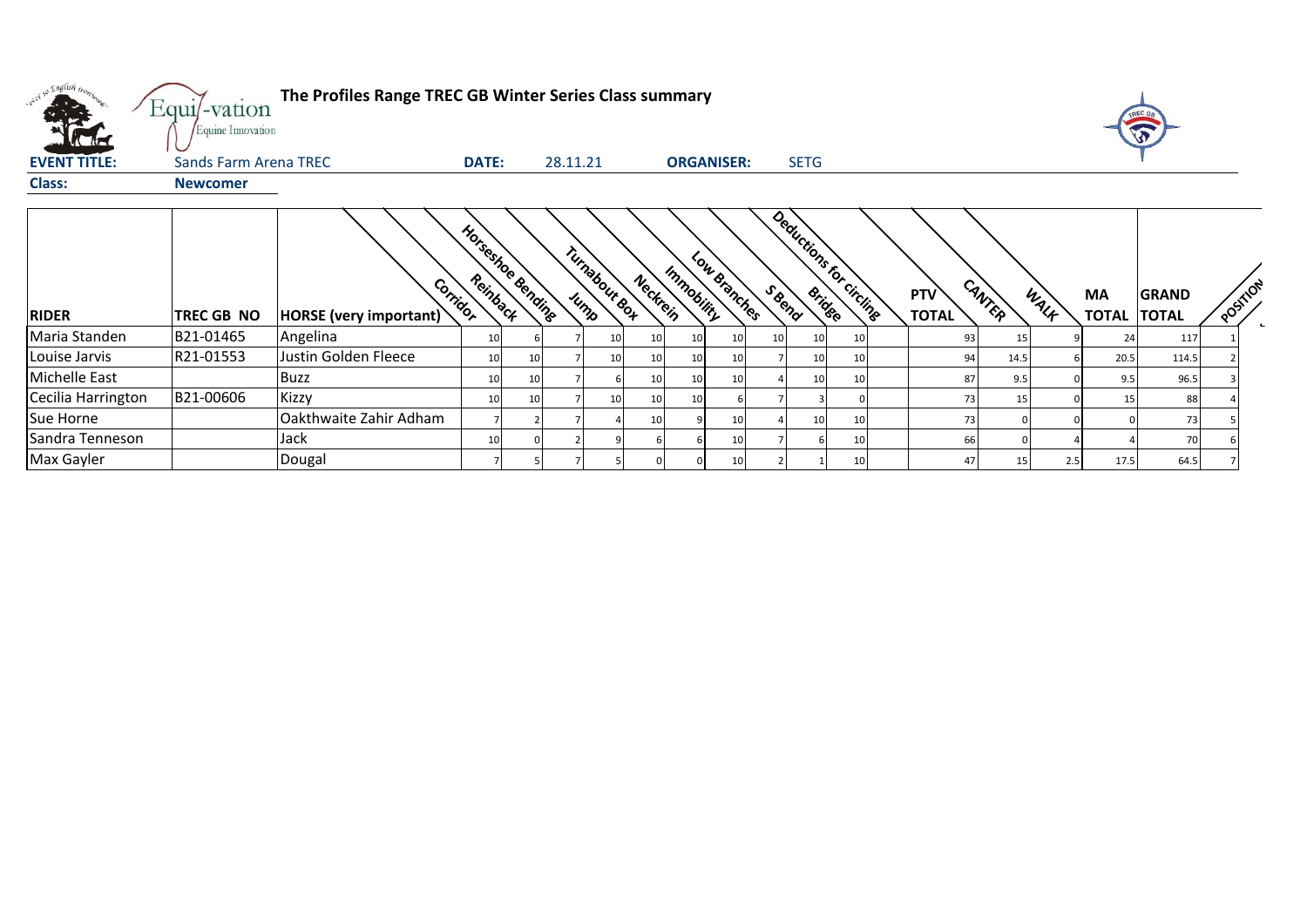| English bo          | Equi/-vation<br>Equine Innovation | The Profiles Range TREC GB Winter Series Class summary |                   |    |          |                 |          |                   |              |       |                 |                          |                            |        |      |                           |                              |                          |
|---------------------|-----------------------------------|--------------------------------------------------------|-------------------|----|----------|-----------------|----------|-------------------|--------------|-------|-----------------|--------------------------|----------------------------|--------|------|---------------------------|------------------------------|--------------------------|
| <b>EVENT TITLE:</b> | Sands Farm Arena TREC             |                                                        | <b>DATE:</b>      |    | 28.11.21 |                 |          | <b>ORGANISER:</b> |              |       | <b>SETG</b>     |                          |                            |        |      |                           |                              |                          |
| <b>Class:</b>       | <b>Newcomer</b>                   |                                                        |                   |    |          |                 |          |                   |              |       |                 |                          |                            |        |      |                           |                              |                          |
| <b>RIDER</b>        | TREC GB NO                        | Corridor<br><b>HORSE</b> (very important)              | Horseshoe dending |    | Jump     | Turnabour Box   | Neckrein | Immobility        | Low Branches | SBend | <b>Bridge</b>   | Deductions for circlings | <b>PTV</b><br><b>TOTAL</b> | CANTER | WALK | <b>MA</b><br><b>TOTAL</b> | <b>GRAND</b><br><b>TOTAL</b> | POSTILON<br>$\leftarrow$ |
| Maria Standen       | B21-01465                         | Angelina                                               |                   |    |          | 10 <sup>1</sup> | 10       | 10                | <b>10</b>    | -10   | 10              | 10                       | 93                         |        |      | 24                        | 117                          |                          |
| Louise Jarvis       | R21-01553                         | Justin Golden Fleece                                   |                   | 10 |          | 10 <sup>1</sup> | 10       | 10                | 10           |       | 10 <sup>1</sup> | 10                       | 94                         | 14.5   |      | 20.5                      | 114.5                        |                          |
| Michelle East       |                                   | <b>Buzz</b>                                            |                   | 10 |          |                 | 10       | 10                |              |       | 10              | 10                       | 87                         | 9.5    |      | 9.5                       | 96.5                         |                          |
| Cecilia Harrington  | B21-00606                         | <b>Kizzy</b>                                           |                   |    |          | 10 <sup>1</sup> | 10       |                   |              |       |                 |                          | 73                         |        |      | 15                        | 88                           |                          |
| <b>Sue Horne</b>    |                                   | Oakthwaite Zahir Adham                                 |                   |    |          |                 | 10       |                   |              |       | 10              | 10                       | 73                         |        |      |                           | 73                           |                          |
| Sandra Tenneson     |                                   | Jack                                                   |                   |    |          |                 |          |                   |              |       |                 | 10                       | 66                         |        |      |                           | 70                           |                          |
| Max Gayler          |                                   | Dougal                                                 |                   |    |          |                 |          |                   | 10           |       |                 | 10                       | 47                         | 15     | 2.5  | 17.5                      | 64.5                         |                          |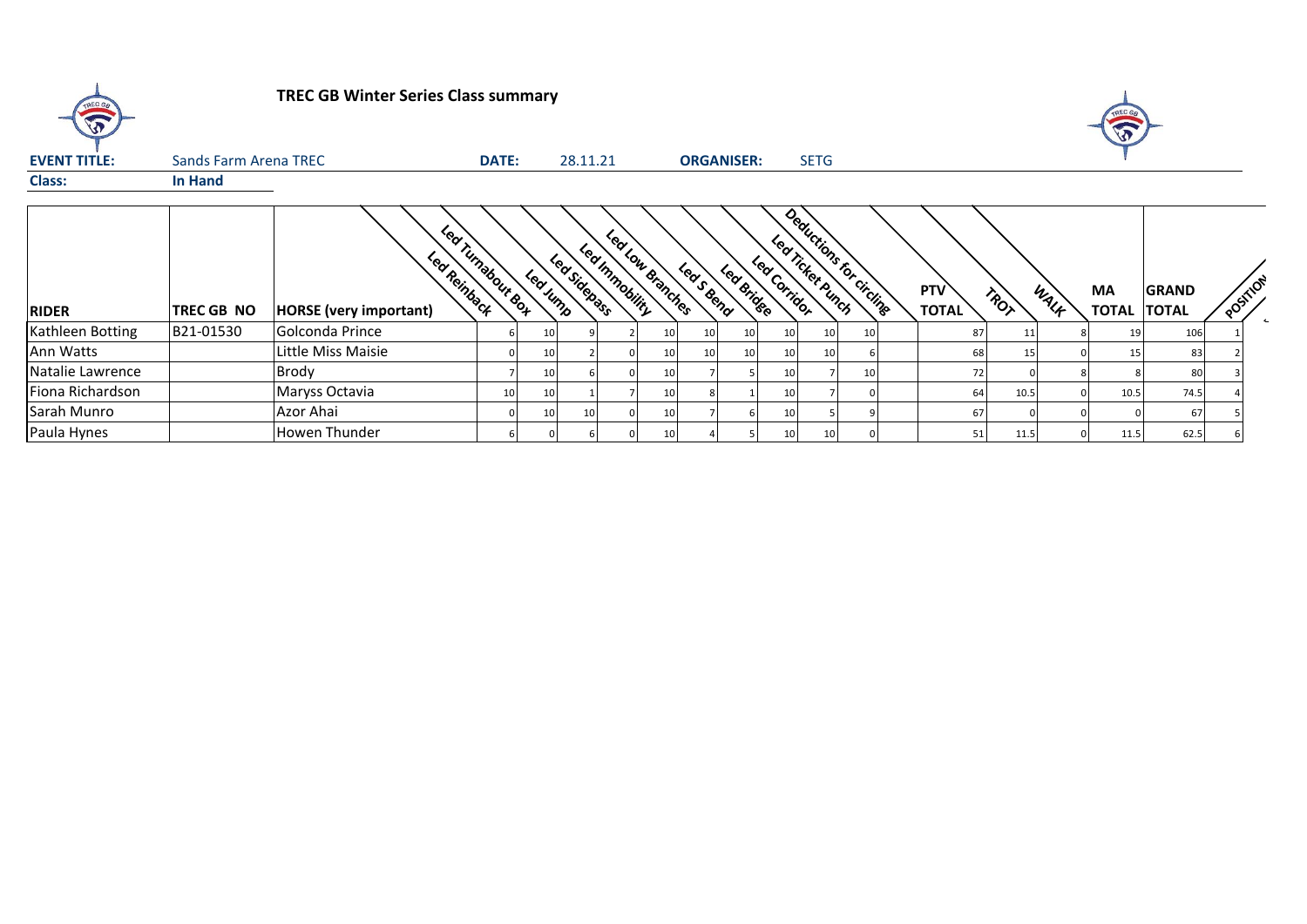| TREC GB             |                       | <b>TREC GB Winter Series Class summary</b>    |                   |          |              |                                    |    |                 |                   |              |                                              |    |                            |                 |      | A                        |              |          |  |
|---------------------|-----------------------|-----------------------------------------------|-------------------|----------|--------------|------------------------------------|----|-----------------|-------------------|--------------|----------------------------------------------|----|----------------------------|-----------------|------|--------------------------|--------------|----------|--|
| <b>EVENT TITLE:</b> | Sands Farm Arena TREC |                                               | <b>DATE:</b>      |          | 28.11.21     |                                    |    |                 | <b>ORGANISER:</b> |              | <b>SETG</b>                                  |    |                            |                 |      |                          |              |          |  |
| <b>Class:</b>       | In Hand               |                                               |                   |          |              |                                    |    |                 |                   |              |                                              |    |                            |                 |      |                          |              |          |  |
| <b>RIDER</b>        | <b>TREC GB NO</b>     | Led Reinback<br><b>HORSE</b> (very important) | Led Turnabout Box | Led Jump | Led Sidepass | Leat ou disaches<br>Led Immobility |    | Leas Bend       | Led Bridge        | Led Corridor | Deductions for circlinge<br>Lea Ticket Bunch |    | <b>PTV</b><br><b>TOTAL</b> | TROT            | WALK | MA<br><b>TOTAL TOTAL</b> | <b>GRAND</b> | POSITION |  |
| Kathleen Botting    | B21-01530             | Golconda Prince                               |                   | 10       |              |                                    | 10 | 10 <sup>1</sup> | 10                |              | 10 <sup>1</sup>                              | 10 | 87                         | 11              |      | 19                       | 106          |          |  |
| Ann Watts           |                       | Little Miss Maisie                            |                   | 10       |              |                                    | 10 | 10 <sup>1</sup> | 10                |              | 10 <sup>1</sup>                              |    | 68                         | 15 <sub>l</sub> |      | 15                       | 83           |          |  |
| Natalie Lawrence    |                       | Brody                                         |                   | 10       |              |                                    | 10 |                 |                   |              |                                              | 10 | 72                         |                 |      |                          | 80           |          |  |
| Fiona Richardson    |                       | Maryss Octavia                                | 10                | 10       |              |                                    | 10 |                 |                   |              |                                              |    | 64                         | 10.5            |      | 10.5                     | 74.5         |          |  |
| Sarah Munro         |                       | Azor Ahai                                     |                   | 10       |              |                                    | 10 |                 |                   |              |                                              |    | 67                         |                 |      |                          | 67           |          |  |
| Paula Hynes         |                       | Howen Thunder                                 |                   |          |              |                                    | 10 |                 |                   |              | 10                                           |    | 51                         | 11.5            |      | 11.5                     | 62.5         |          |  |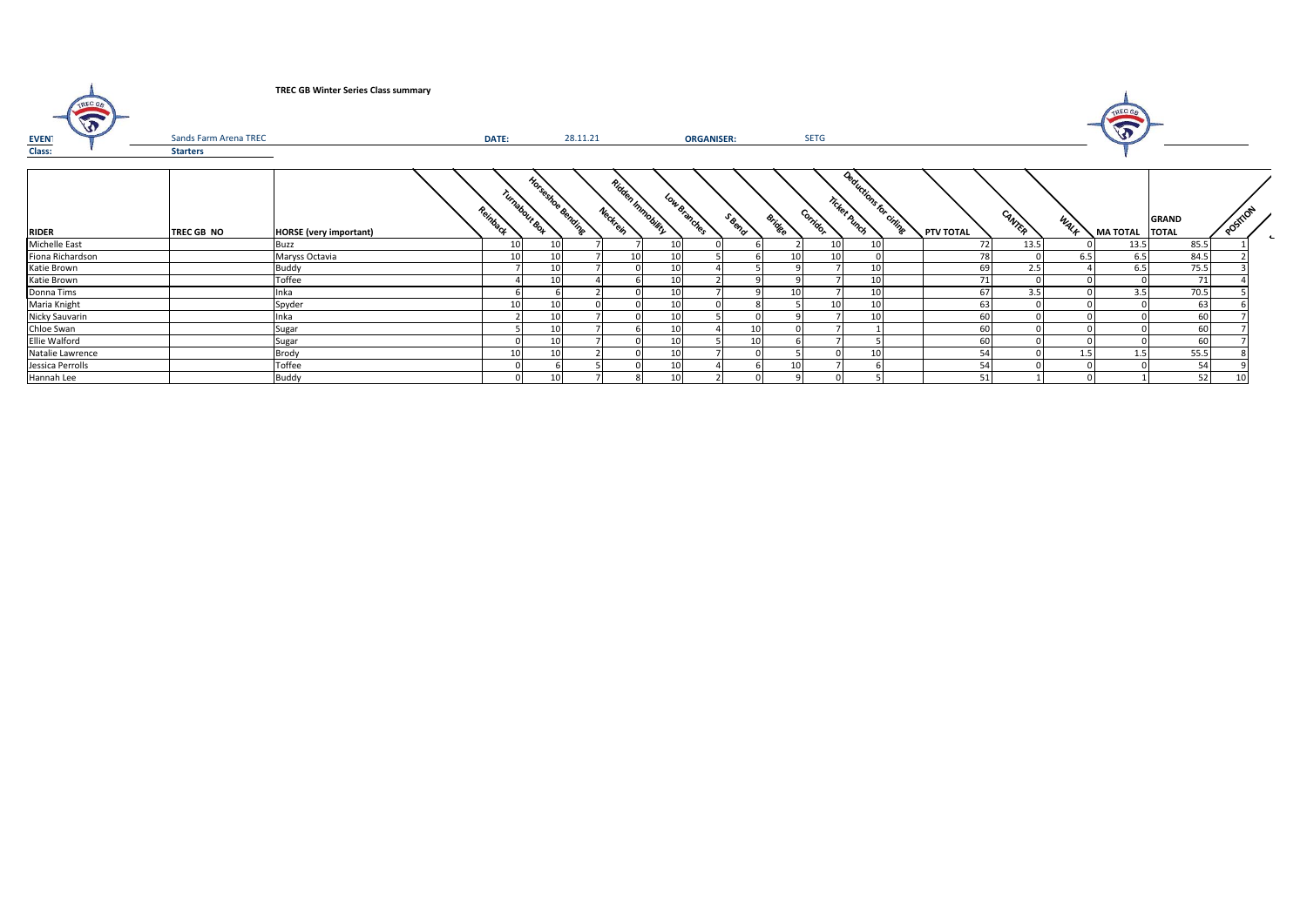| TREC GR<br>W<br>EVEN'<br>Class: | Sands Farm Arena TREC<br><b>Starters</b> | <b>TREC GB Winter Series Class summary</b> | DATE:    |                                    | 28.11.21 |          |                | <b>ORGANISER:</b> |       | <b>SETG</b>               |                                       |           |        |      | TREC GA<br>$\sqrt{3}$ |              |          |  |
|---------------------------------|------------------------------------------|--------------------------------------------|----------|------------------------------------|----------|----------|----------------|-------------------|-------|---------------------------|---------------------------------------|-----------|--------|------|-----------------------|--------------|----------|--|
| RIDER                           | TREC GB NO                               | <b>HORSE</b> (very important)              | Reinback | Horseshee Benzing<br>Turnabour Box |          | Neckrein | Ridden Innmann | Low Branches      | SBeno | Corridor<br><b>Bridge</b> | Reductions for cities<br>Ticket Runch | PTV TOTAL | CANTER | WALF | MA TOTAL TOTAL        | <b>GRAND</b> | Position |  |
| Michelle East                   |                                          | Buzz                                       |          | 10                                 |          |          | 10             |                   |       |                           | 10                                    | 72        | 13.5   |      | 13.5                  | 85.5         |          |  |
| Fiona Richardson                |                                          | Maryss Octavia                             | 10       | 10                                 |          | 10       | 10             |                   |       | 10                        |                                       | 78        |        | 6.5  | 6.5                   | 84.5         |          |  |
| Katie Brown                     |                                          | Buddy                                      |          | 10                                 |          | $\Omega$ | 10             |                   |       |                           | 10                                    | 69        | 2.5    |      | 6.5                   | 75.5         |          |  |
| Katie Brown                     |                                          | Toffee                                     |          | 10                                 |          |          | 10             |                   |       |                           | 10                                    | 71        |        |      |                       | 71           |          |  |
| Donna Tims                      |                                          | Inka                                       |          |                                    |          |          | 10             |                   |       |                           | 10                                    | 67        | 3.5    |      | 3.5                   | 70.5         |          |  |
| Maria Knight                    |                                          | Spyder                                     |          | 10                                 |          |          | 10             |                   |       |                           | 10                                    | 63        |        |      |                       | 63           |          |  |
| Nicky Sauvarin                  |                                          | Inka                                       |          | 10                                 |          |          | 10             |                   |       |                           | 10                                    | 60        |        |      |                       | 60           |          |  |
| Chloe Swan                      |                                          | Sugar                                      |          | 10                                 |          |          | 10             |                   | 10    |                           |                                       | 60        |        |      |                       | 60           |          |  |
| Ellie Walford                   |                                          | Sugar                                      |          | 10                                 |          | $\Omega$ | 10             |                   | 10    |                           |                                       | 60        |        |      |                       | 60           |          |  |
| Natalie Lawrence                |                                          | Brody                                      | 10       | 10                                 |          |          | 10             |                   |       |                           | 10 <sub>l</sub>                       | 54        |        | 1.5  | 1.5                   | 55.5         |          |  |
| Jessica Perrolls                |                                          | Toffee                                     |          |                                    |          |          | 10             |                   |       |                           |                                       | 54        |        |      |                       |              | 54       |  |
| Hannah Lee                      |                                          | Buddy                                      |          | 10 <sup>1</sup>                    |          | 8        | 10             |                   |       |                           |                                       | 51        |        |      |                       |              | 52<br>10 |  |